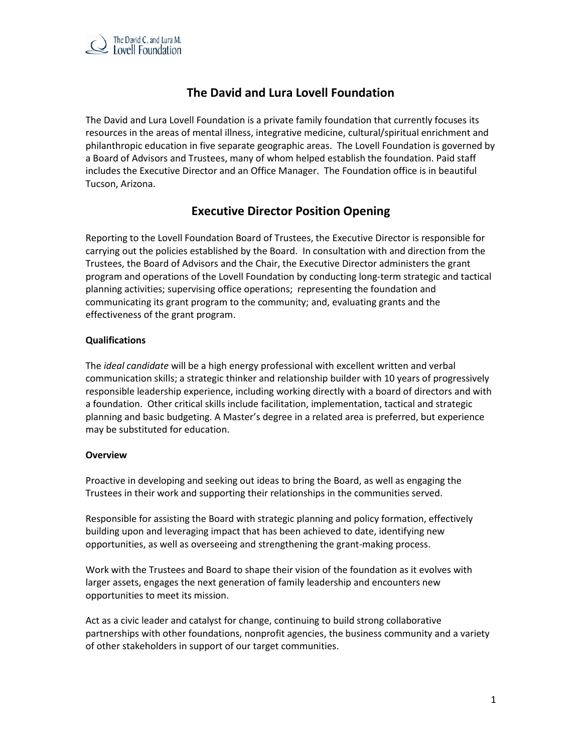

# **The David and Lura Lovell Foundation**

The David and Lura Lovell Foundation is a private family foundation that currently focuses its resources in the areas of mental illness, integrative medicine, cultural/spiritual enrichment and philanthropic education in five separate geographic areas. The Lovell Foundation is governed by a Board of Advisors and Trustees, many of whom helped establish the foundation. Paid staff includes the Executive Director and an Office Manager. The Foundation office is in beautiful Tucson, Arizona.

## **Executive Director Position Opening**

Reporting to the Lovell Foundation Board of Trustees, the Executive Director is responsible for carrying out the policies established by the Board. In consultation with and direction from the Trustees, the Board of Advisors and the Chair, the Executive Director administers the grant program and operations of the Lovell Foundation by conducting long-term strategic and tactical planning activities; supervising office operations; representing the foundation and communicating its grant program to the community; and, evaluating grants and the effectiveness of the grant program.

## **Qualifications**

The *ideal candidate* will be a high energy professional with excellent written and verbal communication skills; a strategic thinker and relationship builder with 10 years of progressively responsible leadership experience, including working directly with a board of directors and with a foundation. Other critical skills include facilitation, implementation, tactical and strategic planning and basic budgeting. A Master's degree in a related area is preferred, but experience may be substituted for education.

## **Overview**

Proactive in developing and seeking out ideas to bring the Board, as well as engaging the Trustees in their work and supporting their relationships in the communities served.

Responsible for assisting the Board with strategic planning and policy formation, effectively building upon and leveraging impact that has been achieved to date, identifying new opportunities, as well as overseeing and strengthening the grant-making process.

Work with the Trustees and Board to shape their vision of the foundation as it evolves with larger assets, engages the next generation of family leadership and encounters new opportunities to meet its mission.

Act as a civic leader and catalyst for change, continuing to build strong collaborative partnerships with other foundations, nonprofit agencies, the business community and a variety of other stakeholders in support of our target communities.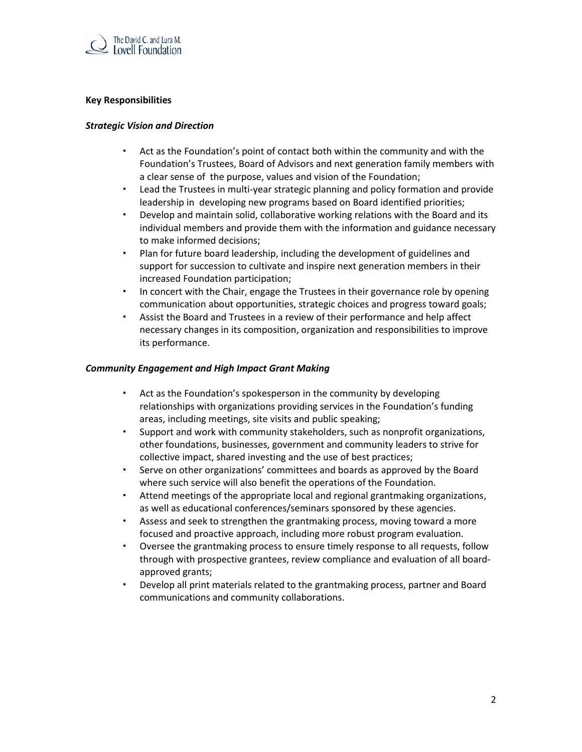

#### **Key Responsibilities**

#### *Strategic Vision and Direction*

- Act as the Foundation's point of contact both within the community and with the Foundation's Trustees, Board of Advisors and next generation family members with a clear sense of the purpose, values and vision of the Foundation;
- Lead the Trustees in multi-year strategic planning and policy formation and provide leadership in developing new programs based on Board identified priorities;
- Develop and maintain solid, collaborative working relations with the Board and its individual members and provide them with the information and guidance necessary to make informed decisions;
- Plan for future board leadership, including the development of guidelines and support for succession to cultivate and inspire next generation members in their increased Foundation participation;
- In concert with the Chair, engage the Trustees in their governance role by opening communication about opportunities, strategic choices and progress toward goals;
- Assist the Board and Trustees in a review of their performance and help affect necessary changes in its composition, organization and responsibilities to improve its performance.

#### *Community Engagement and High Impact Grant Making*

- Act as the Foundation's spokesperson in the community by developing relationships with organizations providing services in the Foundation's funding areas, including meetings, site visits and public speaking;
- Support and work with community stakeholders, such as nonprofit organizations, other foundations, businesses, government and community leaders to strive for collective impact, shared investing and the use of best practices;
- Serve on other organizations' committees and boards as approved by the Board where such service will also benefit the operations of the Foundation.
- Attend meetings of the appropriate local and regional grantmaking organizations, as well as educational conferences/seminars sponsored by these agencies.
- Assess and seek to strengthen the grantmaking process, moving toward a more focused and proactive approach, including more robust program evaluation.
- Oversee the grantmaking process to ensure timely response to all requests, follow through with prospective grantees, review compliance and evaluation of all boardapproved grants;
- Develop all print materials related to the grantmaking process, partner and Board communications and community collaborations.